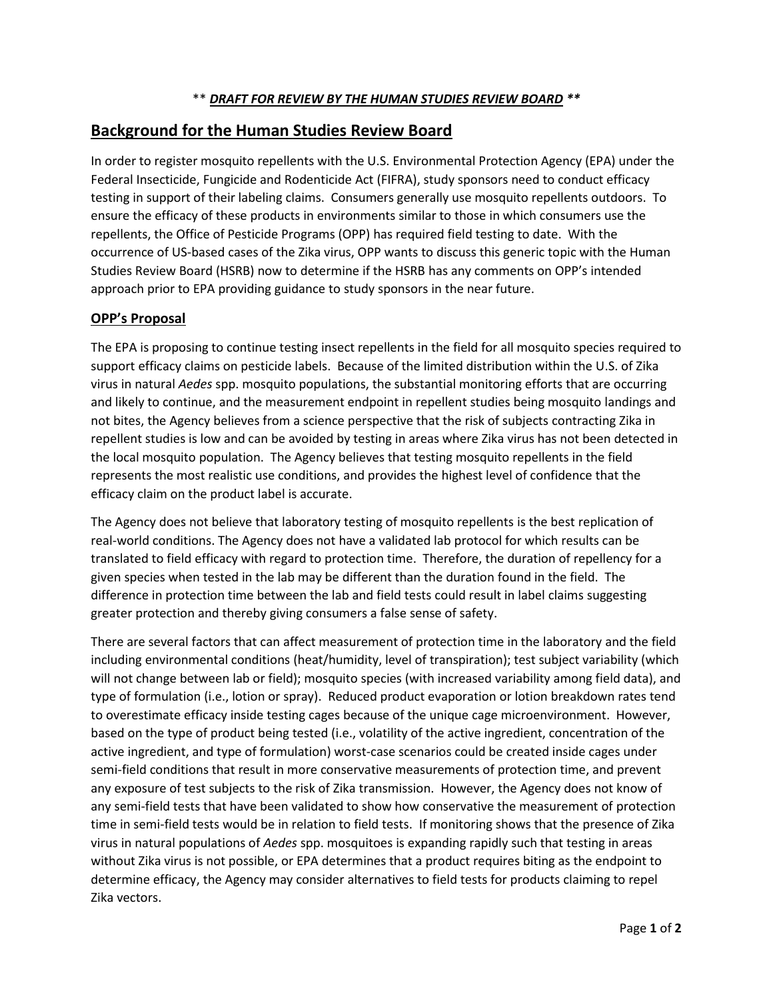## **Background for the Human Studies Review Board**

In order to register mosquito repellents with the U.S. Environmental Protection Agency (EPA) under the Federal Insecticide, Fungicide and Rodenticide Act (FIFRA), study sponsors need to conduct efficacy testing in support of their labeling claims. Consumers generally use mosquito repellents outdoors. To ensure the efficacy of these products in environments similar to those in which consumers use the repellents, the Office of Pesticide Programs (OPP) has required field testing to date. With the occurrence of US-based cases of the Zika virus, OPP wants to discuss this generic topic with the Human Studies Review Board (HSRB) now to determine if the HSRB has any comments on OPP's intended approach prior to EPA providing guidance to study sponsors in the near future.

## **OPP's Proposal**

The EPA is proposing to continue testing insect repellents in the field for all mosquito species required to support efficacy claims on pesticide labels. Because of the limited distribution within the U.S. of Zika virus in natural *Aedes* spp. mosquito populations, the substantial monitoring efforts that are occurring and likely to continue, and the measurement endpoint in repellent studies being mosquito landings and not bites, the Agency believes from a science perspective that the risk of subjects contracting Zika in repellent studies is low and can be avoided by testing in areas where Zika virus has not been detected in the local mosquito population. The Agency believes that testing mosquito repellents in the field represents the most realistic use conditions, and provides the highest level of confidence that the efficacy claim on the product label is accurate.

The Agency does not believe that laboratory testing of mosquito repellents is the best replication of real-world conditions. The Agency does not have a validated lab protocol for which results can be translated to field efficacy with regard to protection time. Therefore, the duration of repellency for a given species when tested in the lab may be different than the duration found in the field. The difference in protection time between the lab and field tests could result in label claims suggesting greater protection and thereby giving consumers a false sense of safety.

There are several factors that can affect measurement of protection time in the laboratory and the field including environmental conditions (heat/humidity, level of transpiration); test subject variability (which will not change between lab or field); mosquito species (with increased variability among field data), and type of formulation (i.e., lotion or spray). Reduced product evaporation or lotion breakdown rates tend to overestimate efficacy inside testing cages because of the unique cage microenvironment. However, based on the type of product being tested (i.e., volatility of the active ingredient, concentration of the active ingredient, and type of formulation) worst-case scenarios could be created inside cages under semi-field conditions that result in more conservative measurements of protection time, and prevent any exposure of test subjects to the risk of Zika transmission. However, the Agency does not know of any semi-field tests that have been validated to show how conservative the measurement of protection time in semi-field tests would be in relation to field tests. If monitoring shows that the presence of Zika virus in natural populations of *Aedes* spp. mosquitoes is expanding rapidly such that testing in areas without Zika virus is not possible, or EPA determines that a product requires biting as the endpoint to determine efficacy, the Agency may consider alternatives to field tests for products claiming to repel Zika vectors.